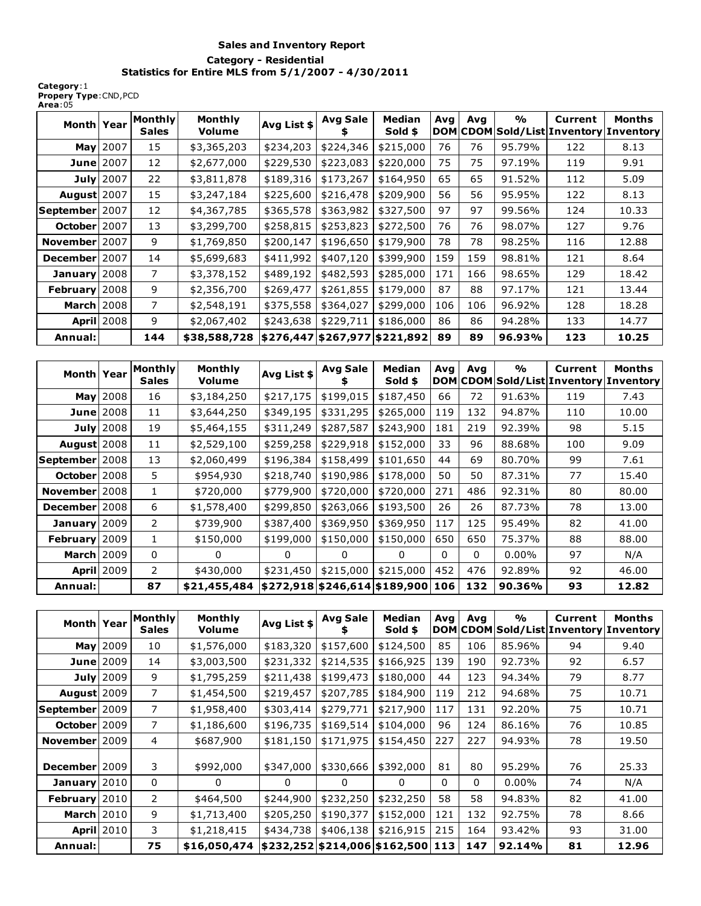## **Sales and Inventory Report Category - Residential Statistics for Entire MLS from 5/1/2007 - 4/30/2011**

**Category**:1 **Propery Type**:CND,PCD **Area**:05

| Month Year                           |                  | <b>Monthly</b><br><b>Sales</b> | Monthly<br>Volume | Avg List \$                   | <b>Avg Sale</b> | <b>Median</b><br>Sold \$ | Avq | Ava | $\frac{1}{2}$ | Current | Months<br>DOM CDOM Sold/List Inventory Inventory |
|--------------------------------------|------------------|--------------------------------|-------------------|-------------------------------|-----------------|--------------------------|-----|-----|---------------|---------|--------------------------------------------------|
|                                      | <b>May</b> 2007  | 15                             | \$3,365,203       | \$234,203                     | \$224,346       | \$215,000                | 76  | 76  | 95.79%        | 122     | 8.13                                             |
| <b>June</b> 2007                     |                  | 12                             | \$2,677,000       | \$229,530                     | \$223,083       | \$220,000                | 75  | 75  | 97.19%        | 119     | 9.91                                             |
|                                      | <b>July</b> 2007 | 22                             | \$3,811,878       | \$189,316                     | \$173,267       | \$164,950                | 65  | 65  | 91.52%        | 112     | 5.09                                             |
| <b>August</b> 2007                   |                  | 15                             | \$3,247,184       | \$225,600                     | \$216,478       | \$209,900                | 56  | 56  | 95.95%        | 122     | 8.13                                             |
| $\left \text{September}\right $ 2007 |                  | 12                             | \$4,367,785       | \$365,578                     | \$363,982       | \$327,500                | 97  | 97  | 99.56%        | 124     | 10.33                                            |
| October 2007                         |                  | 13                             | \$3,299,700       | \$258,815                     | \$253,823       | \$272,500                | 76  | 76  | 98.07%        | 127     | 9.76                                             |
| November 2007                        |                  | 9                              | \$1,769,850       | \$200,147                     | \$196,650       | \$179,900                | 78  | 78  | 98.25%        | 116     | 12.88                                            |
| December 2007                        |                  | 14                             | \$5,699,683       | \$411,992                     | \$407,120       | \$399,900                | 159 | 159 | 98.81%        | 121     | 8.64                                             |
| January 2008                         |                  | 7                              | \$3,378,152       | \$489,192                     | \$482,593       | \$285,000                | 171 | 166 | 98.65%        | 129     | 18.42                                            |
| February 2008                        |                  | 9                              | \$2,356,700       | \$269,477                     | \$261,855       | \$179,000                | 87  | 88  | 97.17%        | 121     | 13.44                                            |
| <b>March</b> 2008                    |                  | 7                              | \$2,548,191       | \$375,558                     | \$364,027       | \$299,000                | 106 | 106 | 96.92%        | 128     | 18.28                                            |
|                                      | April 2008       | 9                              | \$2,067,402       | \$243,638                     | \$229,711       | \$186,000                | 86  | 86  | 94.28%        | 133     | 14.77                                            |
| Annual:                              |                  | 144                            | \$38,588,728      | \$276,447 \$267,977 \$221,892 |                 |                          | 89  | 89  | 96.93%        | 123     | 10.25                                            |

| Month Year          |                   | <b>Monthly</b><br><b>Sales</b> | Monthly<br>Volume | Avg List \$                       | <b>Avg Sale</b> | Median<br>Sold \$ | Avg<br><b>DOM</b> | Avg          | $\frac{1}{2}$ | Current<br> CDOM Sold/List Inventory Inventory | <b>Months</b> |
|---------------------|-------------------|--------------------------------|-------------------|-----------------------------------|-----------------|-------------------|-------------------|--------------|---------------|------------------------------------------------|---------------|
|                     | <b>May</b> 2008   | 16                             | \$3,184,250       | \$217,175                         | \$199,015       | \$187,450         | 66                | 72           | 91.63%        | 119                                            | 7.43          |
|                     | <b>June</b> 2008  | 11                             | \$3,644,250       | \$349,195                         | \$331,295       | \$265,000         | 119               | 132          | 94.87%        | 110                                            | 10.00         |
|                     | <b>July</b> 2008  | 19                             | \$5,464,155       | \$311,249                         | \$287,587       | \$243,900         | 181               | 219          | 92.39%        | 98                                             | 5.15          |
| <b>August</b> 2008  |                   | 11                             | \$2,529,100       | \$259,258                         | \$229,918       | \$152,000         | 33                | 96           | 88.68%        | 100                                            | 9.09          |
| September   2008    |                   | 13                             | \$2,060,499       | \$196,384                         | \$158,499       | \$101,650         | 44                | 69           | 80.70%        | 99                                             | 7.61          |
| <b>October</b> 2008 |                   | 5.                             | \$954,930         | \$218,740                         | \$190,986       | \$178,000         | 50                | 50           | 87.31%        | 77                                             | 15.40         |
| November 2008       |                   | 1                              | \$720,000         | \$779,900                         | \$720,000       | \$720,000         | 271               | 486          | 92.31%        | 80                                             | 80.00         |
| December 2008       |                   | 6                              | \$1,578,400       | \$299,850                         | \$263,066       | \$193,500         | 26                | 26           | 87.73%        | 78                                             | 13.00         |
| January 2009        |                   | 2                              | \$739,900         | \$387,400                         | \$369,950       | \$369,950         | 117               | 125          | 95.49%        | 82                                             | 41.00         |
| February 2009       |                   |                                | \$150,000         | \$199,000                         | \$150,000       | \$150,000         | 650               | 650          | 75.37%        | 88                                             | 88.00         |
| <b>March 2009</b>   |                   | 0                              | 0                 | $\Omega$                          | 0               | $\Omega$          | 0                 | $\mathbf{0}$ | $0.00\%$      | 97                                             | N/A           |
|                     | <b>April 2009</b> | $\mathsf{2}^{\mathsf{1}}$      | \$430,000         | \$231,450                         | \$215,000       | \$215,000         | 452               | 476          | 92.89%        | 92                                             | 46.00         |
| Annual:             |                   | 87                             | \$21,455,484      | \$272,918 \$246,614 \$189,900 106 |                 |                   |                   | 132          | 90.36%        | 93                                             | 12.82         |

| Month Year          |                   | <b>Monthly</b><br><b>Sales</b> | Monthly<br>Volume | Avg List \$ | <b>Avg Sale</b>                   | <b>Median</b><br>Sold \$ | Avg<br><b>DOM</b> | Avg | $\frac{1}{2}$ | Current | <b>Months</b><br>CDOM Sold/List Inventory Inventory |
|---------------------|-------------------|--------------------------------|-------------------|-------------|-----------------------------------|--------------------------|-------------------|-----|---------------|---------|-----------------------------------------------------|
|                     | <b>May</b> 2009   | 10                             | \$1,576,000       | \$183,320   | \$157,600                         | \$124,500                | 85                | 106 | 85.96%        | 94      | 9.40                                                |
|                     | <b>June</b> 2009  | 14                             | \$3,003,500       | \$231,332   | \$214,535                         | \$166,925                | 139               | 190 | 92.73%        | 92      | 6.57                                                |
|                     | July $2009$       | 9                              | \$1,795,259       | \$211,438   | \$199,473                         | \$180,000                | 44                | 123 | 94.34%        | 79      | 8.77                                                |
| <b>August</b> 2009  |                   | 7                              | \$1,454,500       | \$219,457   | \$207,785                         | \$184,900                | 119               | 212 | 94.68%        | 75      | 10.71                                               |
| September 2009      |                   | $\overline{7}$                 | \$1,958,400       | \$303,414   | \$279,771                         | \$217,900                | 117               | 131 | 92.20%        | 75      | 10.71                                               |
| <b>October</b> 2009 |                   | $\overline{7}$                 | \$1,186,600       | \$196,735   | \$169,514                         | \$104,000                | 96                | 124 | 86.16%        | 76      | 10.85                                               |
| November 2009       |                   | 4                              | \$687,900         | \$181,150   | \$171,975                         | \$154,450                | 227               | 227 | 94.93%        | 78      | 19.50                                               |
| December 2009       |                   | 3                              | \$992,000         | \$347,000   | \$330,666                         | \$392,000                | 81                | 80  | 95.29%        | 76      | 25.33                                               |
| January $2010$      |                   | $\mathbf 0$                    | 0                 | $\Omega$    | 0                                 | 0                        | 0                 | 0   | $0.00\%$      | 74      | N/A                                                 |
| February 2010       |                   | $\overline{2}$                 | \$464,500         | \$244,900   | \$232,250                         | \$232,250                | 58                | 58  | 94.83%        | 82      | 41.00                                               |
| <b>March</b> 2010   |                   | 9                              | \$1,713,400       | \$205,250   | \$190,377                         | \$152,000                | 121               | 132 | 92.75%        | 78      | 8.66                                                |
|                     | <b>April</b> 2010 | 3                              | \$1,218,415       | \$434,738   | \$406,138                         | \$216,915                | 215               | 164 | 93.42%        | 93      | 31.00                                               |
| Annual:             |                   | 75                             | \$16,050,474      |             | \$232,252 \$214,006 \$162,500 113 |                          |                   | 147 | 92.14%        | 81      | 12.96                                               |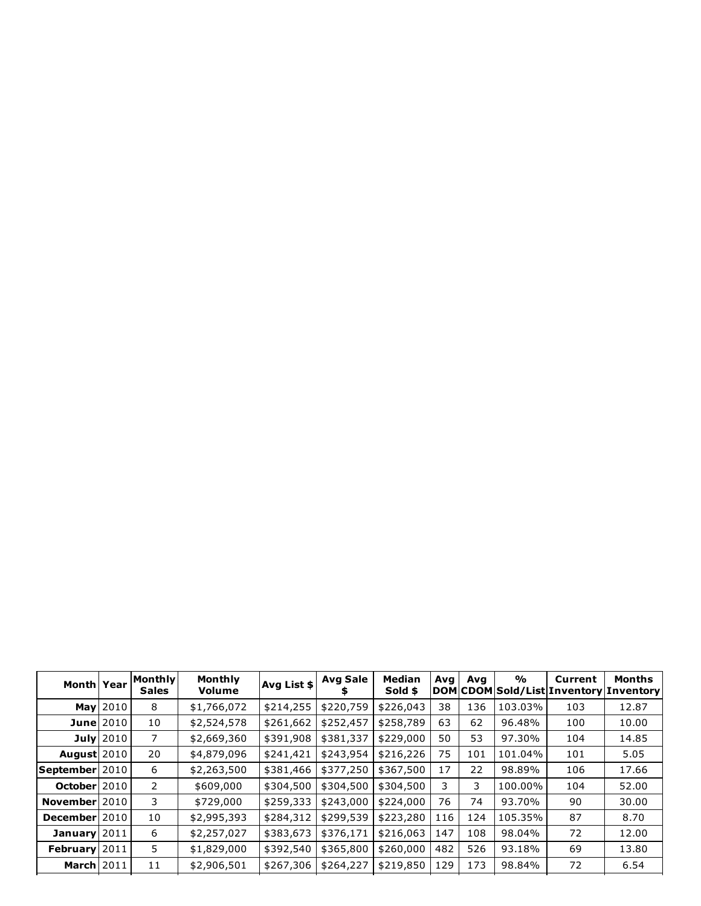| Month Year              |                  | Monthly<br><b>Sales</b> | Monthly<br>Volume | Avg List \$ | <b>Avg Sale</b><br>s | Median<br>Sold \$ | Avg | Ava | $\frac{1}{2}$ | Current<br>DOM CDOM Sold/List Inventory Inventory | Months |
|-------------------------|------------------|-------------------------|-------------------|-------------|----------------------|-------------------|-----|-----|---------------|---------------------------------------------------|--------|
|                         | May 2010         | 8                       | \$1,766,072       | \$214,255   | \$220,759            | \$226,043         | 38  | 136 | 103.03%       | 103                                               | 12.87  |
|                         | <b>June</b> 2010 | 10                      | \$2,524,578       | \$261,662   | \$252,457            | \$258,789         | 63  | 62  | 96.48%        | 100                                               | 10.00  |
|                         | July $2010$      | 7                       | \$2,669,360       | \$391,908   | \$381,337            | \$229,000         | 50  | 53  | 97.30%        | 104                                               | 14.85  |
| August $2010$           |                  | 20                      | \$4,879,096       | \$241,421   | \$243,954            | \$216,226         | 75  | 101 | 101.04%       | 101                                               | 5.05   |
| <b>September</b>   2010 |                  | 6                       | \$2,263,500       | \$381,466   | \$377,250            | \$367,500         | 17  | 22  | 98.89%        | 106                                               | 17.66  |
| October 2010            |                  | 2                       | \$609,000         | \$304,500   | \$304,500            | \$304,500         | 3   | 3   | 100.00%       | 104                                               | 52.00  |
| November 2010           |                  | 3                       | \$729,000         | \$259,333   | \$243,000            | \$224,000         | 76  | 74  | 93.70%        | 90                                                | 30.00  |
| December 2010           |                  | 10                      | \$2,995,393       | \$284,312   | \$299,539            | \$223,280         | 116 | 124 | 105.35%       | 87                                                | 8.70   |
| January 2011            |                  | 6                       | \$2,257,027       | \$383,673   | \$376,171            | \$216,063         | 147 | 108 | 98.04%        | 72                                                | 12.00  |
| February 2011           |                  | 5.                      | \$1,829,000       | \$392,540   | \$365,800            | \$260,000         | 482 | 526 | 93.18%        | 69                                                | 13.80  |
| <b>March</b> 2011       |                  | 11                      | \$2,906,501       | \$267,306   | \$264,227            | \$219,850         | 129 | 173 | 98.84%        | 72                                                | 6.54   |
|                         |                  |                         |                   |             |                      |                   |     |     |               |                                                   |        |